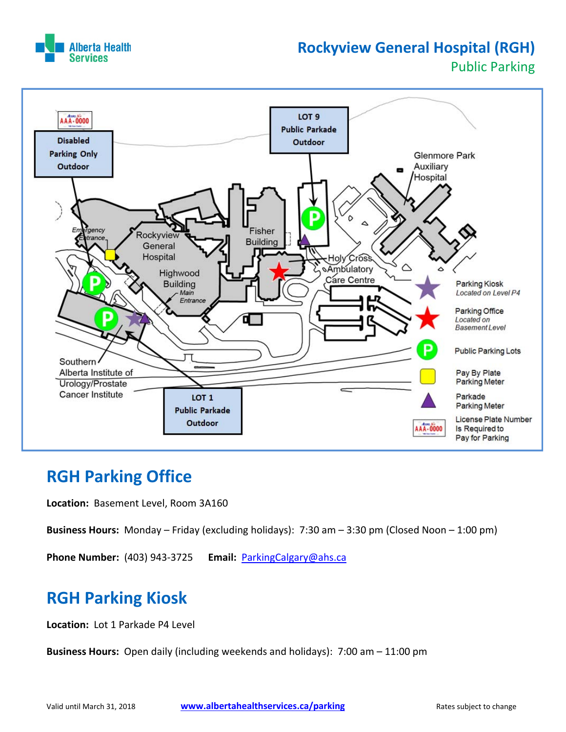

### **Rockyview General Hospital (RGH)** Public Parking



### **RGH Parking Office**

**Location:** Basement Level, Room 3A160

**Business Hours:** Monday – Friday (excluding holidays): 7:30 am – 3:30 pm (Closed Noon – 1:00 pm)

**Phone Number:** (403) 943‐3725 **Email:** ParkingCalgary@ahs.ca

## **RGH Parking Kiosk**

**Location:** Lot 1 Parkade P4 Level

**Business Hours:** Open daily (including weekends and holidays): 7:00 am - 11:00 pm